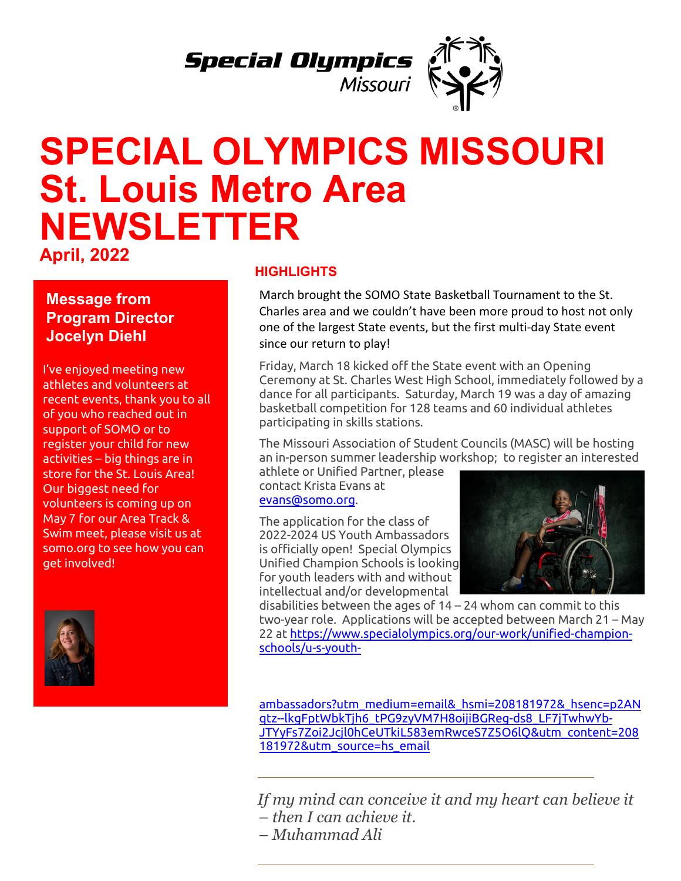

## **SPECIAL OLYMPICS MISSOURI St. Louis Metro Area NEWSLETTER**

**April, 2022**

**Message from Program Director Jocelyn Diehl**

I've enjoyed meeting new athletes and volunteers at recent events, thank you to all of you who reached out in support of SOMO or to register your child for new activities – big things are in store for the St. Louis Area! Our biggest need for volunteers is coming up on May 7 for our Area Track & Swim meet, please visit us at somo.org to see how you can get involved!



## **HIGHLIGHTS**

March brought the SOMO State Basketball Tournament to the St. Charles area and we couldn't have been more proud to host not only one of the largest State events, but the first multi-day State event since our return to play!

Friday, March 18 kicked off the State event with an Opening Ceremony at St. Charles West High School, immediately followed by a dance for all participants. Saturday, March 19 was a day of amazing basketball competition for 128 teams and 60 individual athletes participating in skills stations.

The Missouri Association of Student Councils (MASC) will be hosting an in-person summer leadership workshop; to register an interested

athlete or Unified Partner, please contact Krista Evans at [evans@somo.org.](mailto:evans@somo.org)

The application for the class of 2022-2024 US Youth Ambassadors is officially open! Special Olympics Unified Champion Schools is looking for youth leaders with and without intellectual and/or developmental



disabilities between the ages of 14 – 24 whom can commit to this two-year role. Applications will be accepted between March 21 – May 22 at [https://www.specialolympics.org/our-work/unified-champion](https://www.specialolympics.org/our-work/unified-champion-schools/u-s-youth-ambassadors?utm_medium=email&_hsmi=208181972&_hsenc=p2ANqtz--lkgFptWbkTjh6_tPG9zyVM7H8oijiBGReg-ds8_LF7jTwhwYb-JTYyFs7Zoi2Jcjl0hCeUTkiL583emRwceS7Z5O6lQ&utm_content=208181972&utm_source=hs_email)[schools/u-s-youth-](https://www.specialolympics.org/our-work/unified-champion-schools/u-s-youth-ambassadors?utm_medium=email&_hsmi=208181972&_hsenc=p2ANqtz--lkgFptWbkTjh6_tPG9zyVM7H8oijiBGReg-ds8_LF7jTwhwYb-JTYyFs7Zoi2Jcjl0hCeUTkiL583emRwceS7Z5O6lQ&utm_content=208181972&utm_source=hs_email)

[ambassadors?utm\\_medium=email&\\_hsmi=208181972&\\_hsenc=p2AN](https://www.specialolympics.org/our-work/unified-champion-schools/u-s-youth-ambassadors?utm_medium=email&_hsmi=208181972&_hsenc=p2ANqtz--lkgFptWbkTjh6_tPG9zyVM7H8oijiBGReg-ds8_LF7jTwhwYb-JTYyFs7Zoi2Jcjl0hCeUTkiL583emRwceS7Z5O6lQ&utm_content=208181972&utm_source=hs_email) [qtz--lkgFptWbkTjh6\\_tPG9zyVM7H8oijiBGReg-ds8\\_LF7jTwhwYb-](https://www.specialolympics.org/our-work/unified-champion-schools/u-s-youth-ambassadors?utm_medium=email&_hsmi=208181972&_hsenc=p2ANqtz--lkgFptWbkTjh6_tPG9zyVM7H8oijiBGReg-ds8_LF7jTwhwYb-JTYyFs7Zoi2Jcjl0hCeUTkiL583emRwceS7Z5O6lQ&utm_content=208181972&utm_source=hs_email)[JTYyFs7Zoi2Jcjl0hCeUTkiL583emRwceS7Z5O6lQ&utm\\_content=208](https://www.specialolympics.org/our-work/unified-champion-schools/u-s-youth-ambassadors?utm_medium=email&_hsmi=208181972&_hsenc=p2ANqtz--lkgFptWbkTjh6_tPG9zyVM7H8oijiBGReg-ds8_LF7jTwhwYb-JTYyFs7Zoi2Jcjl0hCeUTkiL583emRwceS7Z5O6lQ&utm_content=208181972&utm_source=hs_email) [181972&utm\\_source=hs\\_email](https://www.specialolympics.org/our-work/unified-champion-schools/u-s-youth-ambassadors?utm_medium=email&_hsmi=208181972&_hsenc=p2ANqtz--lkgFptWbkTjh6_tPG9zyVM7H8oijiBGReg-ds8_LF7jTwhwYb-JTYyFs7Zoi2Jcjl0hCeUTkiL583emRwceS7Z5O6lQ&utm_content=208181972&utm_source=hs_email)

*If my mind can conceive it and my heart can believe it – then I can achieve it.* 

*– Muhammad Ali*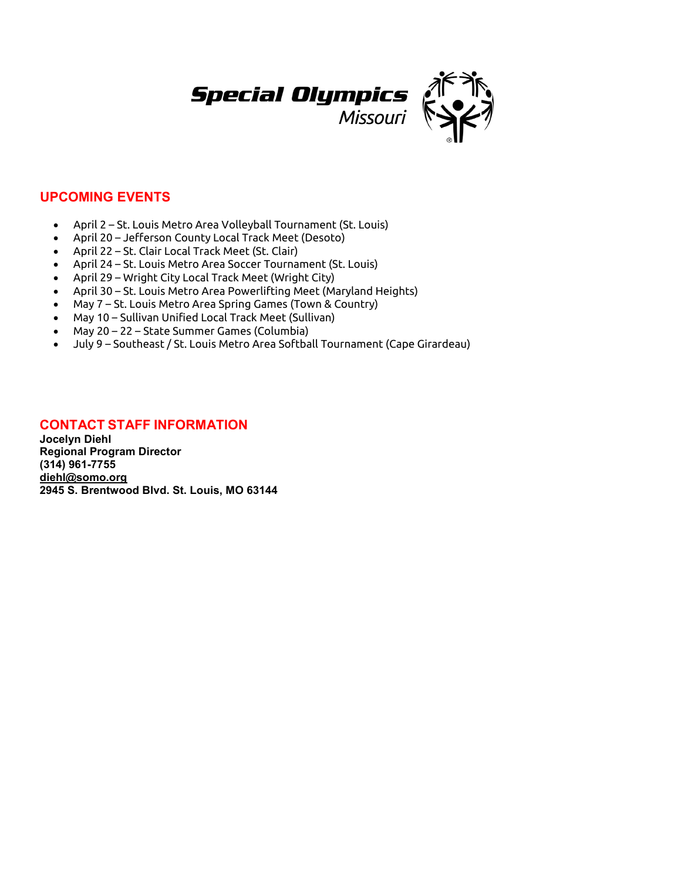

## **UPCOMING EVENTS**

- April 2 St. Louis Metro Area Volleyball Tournament (St. Louis)
- April 20 Jefferson County Local Track Meet (Desoto)
- April 22 St. Clair Local Track Meet (St. Clair)
- April 24 St. Louis Metro Area Soccer Tournament (St. Louis)
- April 29 Wright City Local Track Meet (Wright City)
- April 30 St. Louis Metro Area Powerlifting Meet (Maryland Heights)
- May 7 St. Louis Metro Area Spring Games (Town & Country)
- May 10 Sullivan Unified Local Track Meet (Sullivan)
- May 20 22 State Summer Games (Columbia)
- July 9 Southeast / St. Louis Metro Area Softball Tournament (Cape Girardeau)

## **CONTACT STAFF INFORMATION**

**Jocelyn Diehl Regional Program Director (314) 961-7755 [diehl@somo.org](mailto:diehl@somo.org) 2945 S. Brentwood Blvd. St. Louis, MO 63144**